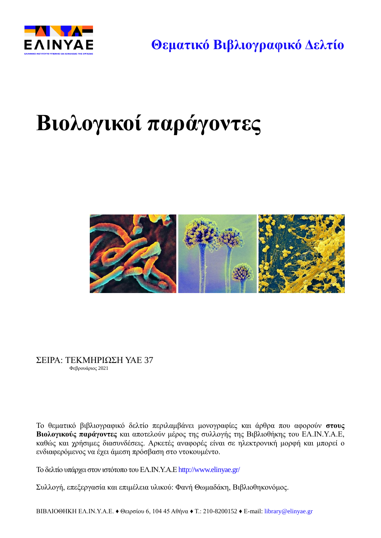

**Θεματικό Βιβλιογραφικό Δελτίο**

# **Βιολογικοί παράγοντες**



ΣΕΙΡΑ: ΤΕΚΜΗΡΙΩΣΗ ΥΑΕ 37 Φεβρουάριος 2021

Το θεματικό βιβλιογραφικό δελτίο περιλαμβάνει μονογραφίες και άρθρα που αφορούν **στους Βιολογικούς παράγοντες** και αποτελούν μέρος της συλλογής της Βιβλιοθήκης του ΕΛ.ΙΝ.Υ.Α.Ε, καθώς και χρήσιμες διασυνδέσεις. Αρκετές αναφορές είναι σε ηλεκτρονική μορφή και μπορεί ο ενδιαφερόμενος να έχει άμεση πρόσβαση στο ντοκουμέντο.

Το δελτίο υπάρχει στoν ιστότοπο του ΕΛ.ΙΝ.Υ.Α.Ε <http://www.elinyae.gr/>

Συλλογή, επεξεργασία και επιμέλεια υλικού: Φανή Θωμαδάκη, Βιβλιοθηκονόμος.

ΒΙΒΛΙΟΘΗΚΗ ΕΛ.ΙΝ.Υ.Α.Ε. ♦ Θειρσίου 6, 104 45 Αθήνα ♦ Τ.: 210-8200152 ♦ Ε-mail: [library@elinyae.gr](mailto:library@elinyae.gr)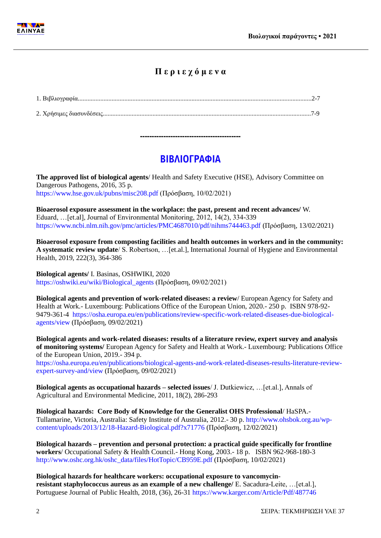

### **Π ε ρ ι ε χ ό μ ε ν α**

1. Βιβλιογραφία..................................................................................................................................................2-7 2. Χρήσιμες διασυνδέσεις..................................................................................................................................7-9

## **ΒΙΒΛΙΟΓΡΑΦΙΑ**

**-------------------------------------------**

**The approved list of biological agents**/ Health and Safety Executive (HSE), Advisory Committee on Dangerous Pathogens, 2016, 35 p. <https://www.hse.gov.uk/pubns/misc208.pdf> (Πρόσβαση, 10/02/2021)

**Bioaerosol exposure assessment in the workplace: the past, present and recent advances/** W. Eduard, …[et.al], Journal of Environmental Monitoring, 2012, 14(2), 334-339 <https://www.ncbi.nlm.nih.gov/pmc/articles/PMC4687010/pdf/nihms744463.pdf> (Πρόσβαση, 13/02/2021)

**Bioaerosol exposure from composting facilities and health outcomes in workers and in the community: A systematic review update**/ S. Robertson, …[et.al.], International Journal of Hygiene and Environmental Health, 2019, 222(3), 364-386

**Biological agents/** I. Basinas, OSHWIKI, 2020 [https://oshwiki.eu/wiki/Biological\\_agents](https://oshwiki.eu/wiki/Biological_agents) (Πρόσβαση, 09/02/2021)

**Biological agents and prevention of work-related diseases: a review**/ European Agency for Safety and Health at Work.- Luxembourg: Publications Office of the European Union, 2020.- 250 p. ISBN 978-92- 9479-361-4 [https://osha.europa.eu/en/publications/review-specific-work-related-diseases-due-biological](https://osha.europa.eu/en/publications/review-specific-work-related-diseases-due-biological-agents/view)[agents/view](https://osha.europa.eu/en/publications/review-specific-work-related-diseases-due-biological-agents/view) (Πρόσβαση, 09/02/2021)

**Biological agents and work-related diseases: results of a literature review, expert survey and analysis of monitoring systems/** European Agency for Safety and Health at Work.- Luxembourg: Publications Office of the European Union, 2019.- 394 p.

[https://osha.europa.eu/en/publications/biological-agents-and-work-related-diseases-results-literature-review](https://osha.europa.eu/en/publications/biological-agents-and-work-related-diseases-results-literature-review-expert-survey-and/view)[expert-survey-and/view](https://osha.europa.eu/en/publications/biological-agents-and-work-related-diseases-results-literature-review-expert-survey-and/view) (Πρόσβαση, 09/02/2021)

**Biological agents as occupational hazards – selected issues**/ J. Dutkiewicz, …[et.al.], Annals of Agricultural and Environmental Medicine, 2011, 18(2), 286-293

**Biological hazards: Core Body of Knowledge for the Generalist OHS Professional**/ HaSPA.- Tullamarine, Victoria, Australia: Safety Institute of Australia, 2012.- 30 p. [http://www.ohsbok.org.au/wp](http://www.ohsbok.org.au/wp-content/uploads/2013/12/18-Hazard-Biological.pdf?x71776)[content/uploads/2013/12/18-Hazard-Biological.pdf?x71776](http://www.ohsbok.org.au/wp-content/uploads/2013/12/18-Hazard-Biological.pdf?x71776) (Πρόσβαση, 12/02/2021)

**Biological hazards – prevention and personal protection: a practical guide specifically for frontline workers**/ Occupational Safety & Health Council.- Hong Kong, 2003.- 18 p. ISBN 962-968-180-3 [http://www.oshc.org.hk/oshc\\_data/files/HotTopic/CB959E.pdf](http://www.oshc.org.hk/oshc_data/files/HotTopic/CB959E.pdf) (Πρόσβαση, 10/02/2021)

**Biological hazards for healthcare workers: occupational exposure to vancomycinresistant staphylococcus aureus as an example of a new challenge/** E. Sacadura-Leite, …[et.al.], Portuguese Journal of Public Health, 2018, (36), 26-31<https://www.karger.com/Article/Pdf/487746>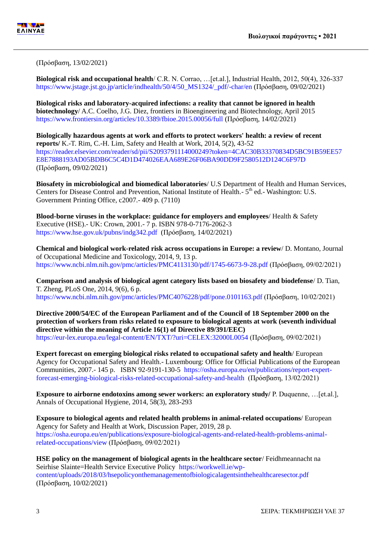

(Πρόσβαση, 13/02/2021)

**Biological risk and occupational health**/ C.R. N. Corrao, …[et.al.], Industrial Health, 2012, 50(4), 326-337 [https://www.jstage.jst.go.jp/article/indhealth/50/4/50\\_MS1324/\\_pdf/-char/en](https://www.jstage.jst.go.jp/article/indhealth/50/4/50_MS1324/_pdf/-char/en) (Πρόσβαση, 09/02/2021)

**Biological risks and laboratory-acquired infections: a reality that cannot be ignored in health biotechnology**/ A.C. Coelho, J.G. Diez, frontiers in Bioengineering and Biotechnology, April 2015 <https://www.frontiersin.org/articles/10.3389/fbioe.2015.00056/full> (Πρόσβαση, 14/02/2021)

**Biologically hazardous agents at work and efforts to protect workers' health: a review of recent reports/** K.-T. Rim, C.-H. Lim, Safety and Health at Work, 2014, 5(2), 43-52 [https://reader.elsevier.com/reader/sd/pii/S2093791114000249?token=4CAC30B33370834D5BC91B59EE57](https://reader.elsevier.com/reader/sd/pii/S2093791114000249?token=4CAC30B33370834D5BC91B59EE57E8E7888193AD05BDB6C5C4D1D474026EAA689E26F06BA90DD9F2580512D124C6F97D) [E8E7888193AD05BDB6C5C4D1D474026EAA689E26F06BA90DD9F2580512D124C6F97D](https://reader.elsevier.com/reader/sd/pii/S2093791114000249?token=4CAC30B33370834D5BC91B59EE57E8E7888193AD05BDB6C5C4D1D474026EAA689E26F06BA90DD9F2580512D124C6F97D) (Πρόσβαση, 09/02/2021)

**Biosafety in microbiological and biomedical laboratories**/ U.S Department of Health and Human Services, Centers for Disease Control and Prevention, National Institute of Health.- 5<sup>th</sup> ed.- Washington: U.S. Government Printing Office, c2007.- 409 p. (7110)

**Blood-borne viruses in the workplace: guidance for employers and employees**/ Health & Safety Executive (HSE).- UK: Crown, 2001.- 7 p. ISBN 978-0-7176-2062-3 <https://www.hse.gov.uk/pubns/indg342.pdf> (Πρόσβαση, 14/02/2021)

**Chemical and biological work-related risk across occupations in Europe: a review**/ D. Montano, Journal of Occupational Medicine and Toxicology, 2014, 9, 13 p. <https://www.ncbi.nlm.nih.gov/pmc/articles/PMC4113130/pdf/1745-6673-9-28.pdf> (Πρόσβαση, 09/02/2021)

**Comparison and analysis of biological agent category lists based on biosafety and biodefense**/ D. Tian, T. Zheng, PLoS One, 2014, 9(6), 6 p. <https://www.ncbi.nlm.nih.gov/pmc/articles/PMC4076228/pdf/pone.0101163.pdf> (Πρόσβαση, 10/02/2021)

**Directive 2000/54/EC of the European Parliament and of the Council of 18 September 2000 on the protection of workers from risks related to exposure to biological agents at work (seventh individual directive within the meaning of Article 16(1) of Directive 89/391/EEC)** <https://eur-lex.europa.eu/legal-content/EN/TXT/?uri=CELEX:32000L0054> (Πρόσβαση, 09/02/2021)

**Expert forecast on emerging biological risks related to occupational safety and health**/ European Agency for Occupational Safety and Health.- Luxembourg: Office for Official Publications of the European Communities, 2007.- 145 p. ISBN 92-9191-130-5 [https://osha.europa.eu/en/publications/report-expert](https://osha.europa.eu/en/publications/report-expert-forecast-emerging-biological-risks-related-occupational-safety-and-health)[forecast-emerging-biological-risks-related-occupational-safety-and-health](https://osha.europa.eu/en/publications/report-expert-forecast-emerging-biological-risks-related-occupational-safety-and-health) (Πρόσβαση, 13/02/2021)

**Exposure to airborne endotoxins among sewer workers: an exploratory study/** P. Duquenne, …[et.al.], Annals of Occupational Hygiene, 2014, 58(3), 283-293

**Exposure to biological agents and related health problems in animal-related occupations**/ European Agency for Safety and Health at Work, Discussion Paper, 2019, 28 p. [https://osha.europa.eu/en/publications/exposure-biological-agents-and-related-health-problems-animal](https://osha.europa.eu/en/publications/exposure-biological-agents-and-related-health-problems-animal-related-occupations/view)[related-occupations/view](https://osha.europa.eu/en/publications/exposure-biological-agents-and-related-health-problems-animal-related-occupations/view) (Πρόσβαση, 09/02/2021)

**HSE policy on the management of biological agents in the healthcare sector**/ Feidhmeannacht na Seirhise Slainte=Health Service Executive Policy [https://workwell.ie/wp](https://workwell.ie/wp-content/uploads/2018/03/hsepolicyonthemanagementofbiologicalagentsinthehealthcaresector.pdf)[content/uploads/2018/03/hsepolicyonthemanagementofbiologicalagentsinthehealthcaresector.pdf](https://workwell.ie/wp-content/uploads/2018/03/hsepolicyonthemanagementofbiologicalagentsinthehealthcaresector.pdf) (Πρόσβαση, 10/02/2021)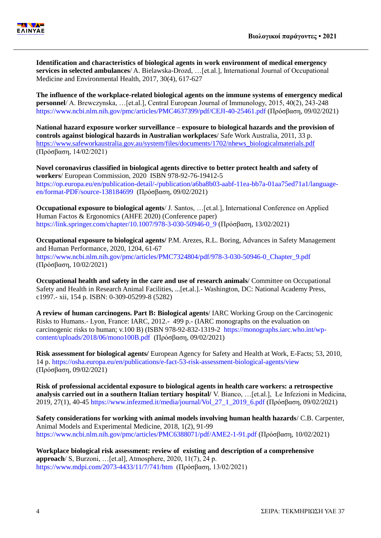

**Identification and characteristics of biological agents in work environment of medical emergency services in selected ambulances**/ A. Bielawska-Drozd, …[et.al.], International Journal of Occupational Medicine and Environmental Health, 2017, 30(4), 617-627

**The influence of the workplace-related biological agents on the immune systems of emergency medical personnel**/ A. Brewczynska, …[et.al.], Central European Journal of Immunology, 2015, 40(2), 243-248 <https://www.ncbi.nlm.nih.gov/pmc/articles/PMC4637399/pdf/CEJI-40-25461.pdf> (Πρόσβαση, 09/02/2021)

**National hazard exposure worker surveillance – exposure to biological hazards and the provision of controls against biological hazards in Australian workplaces**/ Safe Work Australia, 2011, 33 p. [https://www.safeworkaustralia.gov.au/system/files/documents/1702/nhews\\_biologicalmaterials.pdf](https://www.safeworkaustralia.gov.au/system/files/documents/1702/nhews_biologicalmaterials.pdf) (Πρόσβαση, 14/02/2021)

**Novel coronavirus classified in biological agents directive to better protect health and safety of workers**/ European Commission, 2020 ISBN 978-92-76-19412-5 [https://op.europa.eu/en/publication-detail/-/publication/a6ba8b03-aabf-11ea-bb7a-01aa75ed71a1/language](https://op.europa.eu/en/publication-detail/-/publication/a6ba8b03-aabf-11ea-bb7a-01aa75ed71a1/language-en/format-PDF/source-138184699)[en/format-PDF/source-138184699](https://op.europa.eu/en/publication-detail/-/publication/a6ba8b03-aabf-11ea-bb7a-01aa75ed71a1/language-en/format-PDF/source-138184699) (Πρόσβαση, 09/02/2021)

**Occupational exposure to biological agents**/ J. Santos, …[et.al.], International Conference on Applied Human Factos & Ergonomics (AHFE 2020) (Conference paper) [https://link.springer.com/chapter/10.1007/978-3-030-50946-0\\_9](https://link.springer.com/chapter/10.1007/978-3-030-50946-0_9) (Πρόσβαση, 13/02/2021)

**Occupational exposure to biological agents/** P.M. Arezes, R.L. Boring, Advances in Safety Management and Human Performance, 2020, 1204, 61-67 [https://www.ncbi.nlm.nih.gov/pmc/articles/PMC7324804/pdf/978-3-030-50946-0\\_Chapter\\_9.pdf](https://www.ncbi.nlm.nih.gov/pmc/articles/PMC7324804/pdf/978-3-030-50946-0_Chapter_9.pdf)  (Πρόσβαση, 10/02/2021)

**Occupational health and safety in the care and use of research animals**/ Committee on Occupational Safety and Health in Research Animal Facilities, ...[et.al.].- Washington, DC: National Academy Press, c1997.- xii, 154 p. ISBN: 0-309-05299-8 (5282)

**A review of human carcinogens. Part B: Biological agents**/ IARC Working Group on the Carcinogenic Risks to Humans.- Lyon, France: IARC, 2012.- 499 p.- (IARC monographs on the evaluation on carcinogenic risks to human; v.100 B) (ΙSBN 978-92-832-1319-2 [https://monographs.iarc.who.int/wp](https://monographs.iarc.who.int/wp-content/uploads/2018/06/mono100B.pdf)[content/uploads/2018/06/mono100B.pdf](https://monographs.iarc.who.int/wp-content/uploads/2018/06/mono100B.pdf) (Πρόσβαση, 09/02/2021)

**Risk assessment for biological agents/** European Agency for Safety and Health at Work, E-Facts; 53, 2010, 14 p.<https://osha.europa.eu/en/publications/e-fact-53-risk-assessment-biological-agents/view> (Πρόσβαση, 09/02/2021)

**Risk of professional accidental exposure to biological agents in health care workers: a retrospective analysis carried out in a southern Italian tertiary hospital/** V. Bianco, …[et.al.], Le Infezioni in Medicina, 2019, 27(1), 40-45 [https://www.infezmed.it/media/journal/Vol\\_27\\_1\\_2019\\_6.pdf](https://www.infezmed.it/media/journal/Vol_27_1_2019_6.pdf) (Πρόσβαση, 09/02/2021)

**Safety considerations for working with animal models involving human health hazards**/ C.B. Carpenter, Animal Models and Experimental Medicine, 2018, 1(2), 91-99 <https://www.ncbi.nlm.nih.gov/pmc/articles/PMC6388071/pdf/AME2-1-91.pdf> (Πρόσβαση, 10/02/2021)

**Workplace biological risk assessment: review of existing and description of a comprehensive approach**/ S, Burzoni, …[et.al], Atmosphere, 2020, 11(7), 24 p. <https://www.mdpi.com/2073-4433/11/7/741/htm>(Πρόσβαση, 13/02/2021)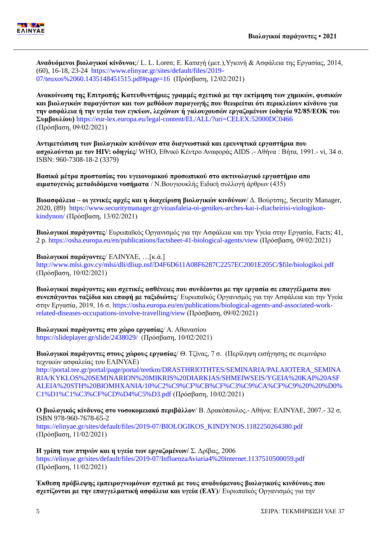**Αναδυόμενοι βιολογικοί κίνδυνοι**;/ L. L. Loren; Ε. Καταγή (μετ.),Υγιεινή & Ασφάλεια της Εργασίας, 2014, (60), 16-18, 23-24 [https://www.elinyae.gr/sites/default/files/2019-](https://www.elinyae.gr/sites/default/files/2019-07/teuxos%2060.1435148451515.pdf#page=16) [07/teuxos%2060.1435148451515.pdf#page=16](https://www.elinyae.gr/sites/default/files/2019-07/teuxos%2060.1435148451515.pdf#page=16) (Πρόσβαση, 12/02/2021)

**Ανακοίνωση της Επιτροπής Κατευθυντήριες γραμμές σχετικά με την εκτίμηση των χημικών, φυσικών και βιολογικών παραγόντων και των μεθόδων παραγωγής που θεωρείται ότι περικλείουν κίνδυνο για την ασφάλεια ή την υγεία των εγκύων, λεχώνων ή γαλουχουσών εργαζομένων (οδηγία 92/85/ΕΟΚ του Συμβουλίου)** <https://eur-lex.europa.eu/legal-content/EL/ALL/?uri=CELEX:52000DC0466> (Πρόσβαση, 09/02/2021)

**Αντιμετώπιση των βιολογικών κινδύνων στα διαγνωστικά και ερευνητικά εργαστήρια που ασχολούνται με τον HIV: οδηγίες**/ WHO, Εθνικό Κέντρο Αναφοράς AIDS .- Αθήνα : Βήτα, 1991.- vi, 34 σ. ISBN: 960-7308-18-2 (3379)

**Βασικά μέτρα προστασίας του υγειονομικού προσωπικού στο ακτινολογικό εργαστήριο απο αιματογενώς μεταδιδόμενα νοσήματα** / Ν.Βουγιουκλής Ειδική συλλογή άρθρων (435)

**Βιοασφάλεια – οι γενικές αρχές και η διαχείριση βιολογικών κινδύνων**/ Δ. Βούρτσης, Security Manager, 2020, (89) [https://www.securitymanager.gr/vioasfaleia-oi-genikes-arches-kai-i-diacheirisi-viologikon](https://www.securitymanager.gr/vioasfaleia-oi-genikes-arches-kai-i-diacheirisi-viologikon-kindynon/)[kindynon/](https://www.securitymanager.gr/vioasfaleia-oi-genikes-arches-kai-i-diacheirisi-viologikon-kindynon/) (Πρόσβαση, 13/02/2021)

**Βιολογικοί παράγοντες**/ Ευρωπαϊκός Οργανισμός για την Ασφάλεια και την Υγεία στην Εργασία, Facts; 41, 2 p.<https://osha.europa.eu/en/publications/factsheet-41-biological-agents/view> (Πρόσβαση, 09/02/2021)

**Βιολογικοί παράγοντες**/ ΕΛΙΝΥΑΕ, …[κ.ά.] [http://www.mlsi.gov.cy/mlsi/dli/dliup.nsf/D4F6D611A08F6287C2257EC2001E205C/\\$file/biologikoi.pdf](http://www.mlsi.gov.cy/mlsi/dli/dliup.nsf/D4F6D611A08F6287C2257EC2001E205C/$file/biologikoi.pdf) (Πρόσβαση, 10/02/2021)

**Βιολογικοί παράγοντες και σχετικές ασθένειες που συνδέονται με την εργασία σε επαγγέλματα που συνεπάγονται ταξίδια και επαφή με ταξιδιώτες**/ Ευρωπαϊκός Οργανισμός για την Ασφάλεια και την Υγεία στην Εργασία, 2019, 16 σ. [https://osha.europa.eu/en/publications/biological-agents-and-associated-work](https://osha.europa.eu/en/publications/biological-agents-and-associated-work-related-diseases-occupations-involve-travelling/view)[related-diseases-occupations-involve-travelling/view](https://osha.europa.eu/en/publications/biological-agents-and-associated-work-related-diseases-occupations-involve-travelling/view) (Πρόσβαση, 09/02/2021)

**Βιολογικοί παράγοντες στο χώρο εργασίας**/ Α. Αθανασίου <https://slideplayer.gr/slide/2438029/>(Πρόσβαση, 10/02/2021)

**Βιολογικοί παράγοντες στους χώρους εργασίας**/ Θ. Τζίνας, 7 σ. (Περίληψη εισήγησης σε σεµινάριο τεχνικών ασφαλείας του ΕΛΙΝΥΑΕ)

[http://portal.tee.gr/portal/page/portal/teetkm/DRASTHRIOTHTES/SEMINARIA/PALAIOTERA\\_SEMINA](http://portal.tee.gr/portal/page/portal/teetkm/DRASTHRIOTHTES/SEMINARIA/PALAIOTERA_SEMINARIA/KYKLOS%20SEMINARION%20MIKRIS%20DIARKIAS/SHMEIWSEIS/YGEIA%20KAI%20ASFALEIA%20STH%20BIOMHXANIA/10%C2%C9%CF%CB%CF%C3%C9%CA%CF%C9%20%20%D0%C1%D1%C1%C3%CF%CD%D4%C5%D3.pdf) [RIA/KYKLOS%20SEMINARION%20MIKRIS%20DIARKIAS/SHMEIWSEIS/YGEIA%20KAI%20ASF](http://portal.tee.gr/portal/page/portal/teetkm/DRASTHRIOTHTES/SEMINARIA/PALAIOTERA_SEMINARIA/KYKLOS%20SEMINARION%20MIKRIS%20DIARKIAS/SHMEIWSEIS/YGEIA%20KAI%20ASFALEIA%20STH%20BIOMHXANIA/10%C2%C9%CF%CB%CF%C3%C9%CA%CF%C9%20%20%D0%C1%D1%C1%C3%CF%CD%D4%C5%D3.pdf) [ALEIA%20STH%20BIOMHXANIA/10%C2%C9%CF%CB%CF%C3%C9%CA%CF%C9%20%20%D0%](http://portal.tee.gr/portal/page/portal/teetkm/DRASTHRIOTHTES/SEMINARIA/PALAIOTERA_SEMINARIA/KYKLOS%20SEMINARION%20MIKRIS%20DIARKIAS/SHMEIWSEIS/YGEIA%20KAI%20ASFALEIA%20STH%20BIOMHXANIA/10%C2%C9%CF%CB%CF%C3%C9%CA%CF%C9%20%20%D0%C1%D1%C1%C3%CF%CD%D4%C5%D3.pdf) [C1%D1%C1%C3%CF%CD%D4%C5%D3.pdf](http://portal.tee.gr/portal/page/portal/teetkm/DRASTHRIOTHTES/SEMINARIA/PALAIOTERA_SEMINARIA/KYKLOS%20SEMINARION%20MIKRIS%20DIARKIAS/SHMEIWSEIS/YGEIA%20KAI%20ASFALEIA%20STH%20BIOMHXANIA/10%C2%C9%CF%CB%CF%C3%C9%CA%CF%C9%20%20%D0%C1%D1%C1%C3%CF%CD%D4%C5%D3.pdf) (Πρόσβαση, 10/02/2021)

**Ο βιολογικός κίνδυνος στο νοσοκομειακό περιβάλλον**/ Β. Δρακόπουλος.- Αθήνα: ΕΛΙΝΥΑΕ, 2007.- 32 σ. ISBN 978-960-7678-65-2 [https://elinyae.gr/sites/default/files/2019-07/BIOLOGIKOS\\_KINDYNOS.1182250264380.pdf](https://elinyae.gr/sites/default/files/2019-07/BIOLOGIKOS_KINDYNOS.1182250264380.pdf) (Πρόσβαση, 11/02/2021)

**Η γρίπη των πτηνών και η υγεία των εργαζομένων/** Σ. Δρίβας, 2006 <https://elinyae.gr/sites/default/files/2019-07/InfluenzaAviaria4%20internet.1137510500059.pdf> (Πρόσβαση, 11/02/2021)

**Έκθεση πρόβλεψης εμπειρογνωμόνων σχετικά με τους αναδυόμενους βιολογικούς κινδύνους που σχετίζονται με την επαγγελματική ασφάλεια και υγεία (ΕΑΥ)**/ Ευρωπαϊκός Οργανισμός για την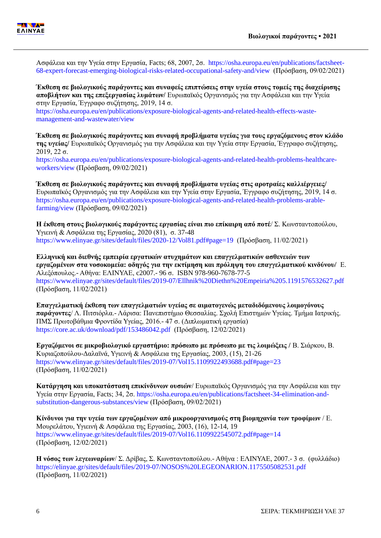

Ασφάλεια και την Υγεία στην Εργασία, Facts; 68, 2007, 2σ. [https://osha.europa.eu/en/publications/factsheet-](https://osha.europa.eu/en/publications/factsheet-68-expert-forecast-emerging-biological-risks-related-occupational-safety-and/view)[68-expert-forecast-emerging-biological-risks-related-occupational-safety-and/view](https://osha.europa.eu/en/publications/factsheet-68-expert-forecast-emerging-biological-risks-related-occupational-safety-and/view) (Πρόσβαση, 09/02/2021)

**Έκθεση σε βιολογικούς παράγοντες και συναφείς επιπτώσεις στην υγεία στους τομείς της διαχείρισης αποβλήτων και της επεξεργασίας λυμάτων/** Ευρωπαϊκός Οργανισμός για την Ασφάλεια και την Υγεία στην Εργασία, Έγγραφο συζήτησης, 2019, 14 σ.

[https://osha.europa.eu/en/publications/exposure-biological-agents-and-related-health-effects-waste](https://osha.europa.eu/en/publications/exposure-biological-agents-and-related-health-effects-waste-management-and-wastewater/view)[management-and-wastewater/view](https://osha.europa.eu/en/publications/exposure-biological-agents-and-related-health-effects-waste-management-and-wastewater/view)

**Έκθεση σε βιολογικούς παράγοντες και συναφή προβλήματα υγείας για τους εργαζόμενους στον κλάδο της υγείας/** Ευρωπαϊκός Οργανισμός για την Ασφάλεια και την Υγεία στην Εργασία, Έγγραφο συζήτησης,  $2019, 22$  σ.

[https://osha.europa.eu/en/publications/exposure-biological-agents-and-related-health-problems-healthcare](https://osha.europa.eu/en/publications/exposure-biological-agents-and-related-health-problems-healthcare-workers/view)[workers/view](https://osha.europa.eu/en/publications/exposure-biological-agents-and-related-health-problems-healthcare-workers/view) (Πρόσβαση, 09/02/2021)

**Έκθεση σε βιολογικούς παράγοντες και συναφή προβλήματα υγείας στις αροτραίες καλλιέργειες/**  Ευρωπαϊκός Οργανισμός για την Ασφάλεια και την Υγεία στην Εργασία, Έγγραφο συζήτησης, 2019, 14 σ. [https://osha.europa.eu/en/publications/exposure-biological-agents-and-related-health-problems-arable](https://osha.europa.eu/en/publications/exposure-biological-agents-and-related-health-problems-arable-farming/view)[farming/view](https://osha.europa.eu/en/publications/exposure-biological-agents-and-related-health-problems-arable-farming/view) (Πρόσβαση, 09/02/2021)

**Η έκθεση στους βιολογικούς παράγοντες εργασίας είναι πιο επίκαιρη από ποτέ**/ Σ. Κωνσταντοπούλου, Υγιεινή & Ασφάλεια της Εργασίας, 2020 (81), σ. 37-48 <https://www.elinyae.gr/sites/default/files/2020-12/Vol81.pdf#page=19>(Πρόσβαση, 11/02/2021)

**Ελληνική και διεθνής εμπειρία εργατικών ατυχημάτων και επαγγελματικών ασθενειών των εργαζομένων στα νοσοκομεία: oδηγός για την εκτίμηση και πρόληψη του επαγγελματικού κινδύνου/** Ε. Αλεξόπουλος.- Αθήνα: ΕΛΙΝΥΑΕ, c2007.- 96 σ. ISBN 978-960-7678-77-5 <https://www.elinyae.gr/sites/default/files/2019-07/Ellhnik%20Diethn%20Empeiria%205.1191576532627.pdf> (Πρόσβαση, 11/02/2021)

**Επαγγελματική έκθεση των επαγγελματιών υγείας σε αιματογενώς μεταδιδόμενους λοιμογόνους παράγοντες**/ Λ. Πιτσιόρλα.- Λάρισα: Πανεπιστήμιο Θεσσαλίας. Σχολή Επιστημών Υγείας. Τμήμα Ιατρικής. ΠΜΣ Πρωτοβάθμια Φροντίδα Υγείας, 2016.- 47 σ. (Διπλωματική εργασία) <https://core.ac.uk/download/pdf/153486042.pdf>(Πρόσβαση, 12/02/2021)

**Εργαζόμενοι σε μικροβιολογικό εργαστήριο: πρόσωπο με πρόσωπο με τις λοιμώξεις /** Β. Σιάρκου, Β. Κυριαζοπούλου-Δαλαϊνά, Υγιεινή & Ασφάλεια της Εργασίας, 2003, (15), 21-26 <https://www.elinyae.gr/sites/default/files/2019-07/Vol15.1109922493688.pdf#page=23> (Πρόσβαση, 11/02/2021)

**Κατάργηση και υποκατάσταση επικίνδυνων ουσιών**/ Ευρωπαϊκός Οργανισμός για την Ασφάλεια και την Υγεία στην Εργασία, Facts; 34, 2σ. [https://osha.europa.eu/en/publications/factsheet-34-elimination-and](https://osha.europa.eu/en/publications/factsheet-34-elimination-and-substitution-dangerous-substances/view)[substitution-dangerous-substances/view](https://osha.europa.eu/en/publications/factsheet-34-elimination-and-substitution-dangerous-substances/view) (Πρόσβαση, 09/02/2021)

**Κίνδυνοι για την υγεία των εργαζομένων από μικροοργανισμούς στη βιομηχανία των τροφίμων** / Ε. Μουρελάτου, Υγιεινή & Ασφάλεια της Εργασίας, 2003, (16), 12-14, 19 <https://www.elinyae.gr/sites/default/files/2019-07/Vol16.1109922545072.pdf#page=14> (Πρόσβαση, 12/02/2021)

**Η νόσος των λεγεωναρίων**/ Σ. Δρίβας, Σ. Κωνσταντοπούλου.- Αθήνα : ΕΛΙΝΥΑΕ, 2007.- 3 σ. (φυλλάδιο) <https://elinyae.gr/sites/default/files/2019-07/NOSOS%20LEGEONARION.1175505082531.pdf> (Πρόσβαση, 11/02/2021)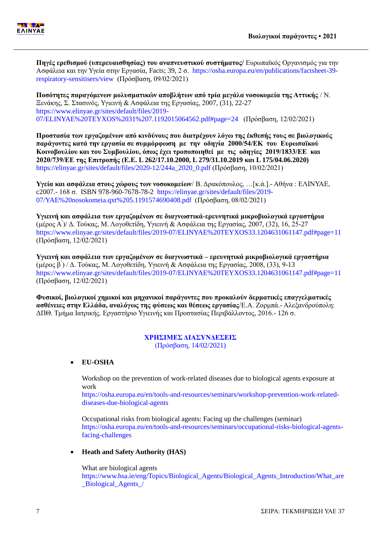

**Πηγές ερεθισμού (υπερευαισθησίας) του αναπνευστικού συστήματος/** Ευρωπαϊκός Οργανισμός για την Ασφάλεια και την Υγεία στην Εργασία, Facts; 39, 2 σ. [https://osha.europa.eu/en/publications/factsheet-39](https://osha.europa.eu/en/publications/factsheet-39-respiratory-sensitisers/view) [respiratory-sensitisers/view](https://osha.europa.eu/en/publications/factsheet-39-respiratory-sensitisers/view) (Πρόσβαση, 09/02/2021)

**Ποσότητες παραγόμενων μολυσματικών αποβλήτων από τρία μεγάλα νοσοκομεία της Αττικής** / Ν. Ξενάκης, Σ. Στασινός, Υγιεινή & Ασφάλεια της Εργασίας, 2007, (31), 22-27 [https://www.elinyae.gr/sites/default/files/2019-](https://www.elinyae.gr/sites/default/files/2019-07/ELINYAE%20TEYXOS%2031%207.1192015064562.pdf#page=24) [07/ELINYAE%20TEYXOS%2031%207.1192015064562.pdf#page=24](https://www.elinyae.gr/sites/default/files/2019-07/ELINYAE%20TEYXOS%2031%207.1192015064562.pdf#page=24) (Πρόσβαση, 12/02/2021)

**Προστασία των εργαζομένων από κινδύνους που διατρέχουν λόγω της έκθεσής τους σε βιολογικούς παράγοντες κατά την εργασία σε συμμόρφωση με την οδηγία 2000/54/ΕΚ του Ευρωπαϊκού Κοινοβουλίου και του Συμβουλίου, όπως έχει τροποποιηθεί με τις οδηγίες 2019/1833/ΕΕ και 2020/739/ΕΕ της Επιτροπής (Ε.Ε. L 262/17.10.2000, L 279/31.10.2019 και L 175/04.06.2020)** [https://elinyae.gr/sites/default/files/2020-12/244a\\_2020\\_0.pdf](https://elinyae.gr/sites/default/files/2020-12/244a_2020_0.pdf) (Πρόσβαση, 10/02/2021)

**Υγεία και ασφάλεια στους χώρους των νοσοκομείων**/ Β. Δρακόπουλος, …[κ.ά.].- Αθήνα : ΕΛΙΝΥΑΕ, c2007.- 168 σ. ISBN 978-960-7678-78-2 [https://elinyae.gr/sites/default/files/2019-](https://elinyae.gr/sites/default/files/2019-07/YAE%20nosokomeia.qxt%205.1191574690408.pdf) [07/YAE%20nosokomeia.qxt%205.1191574690408.pdf](https://elinyae.gr/sites/default/files/2019-07/YAE%20nosokomeia.qxt%205.1191574690408.pdf) (Πρόσβαση, 08/02/2021)

**Υγιεινή και ασφάλεια των εργαζομένων σε διαγνωστικά-ερευνητικά μικροβιολογικά εργαστήρια**  (μέρος Α ́)/ Δ. Τούκας, Μ. Λογοθετίδη, Υγιεινή & Ασφάλεια της Εργασίας, 2007, (32), 16, 25-27 <https://www.elinyae.gr/sites/default/files/2019-07/ELINYAE%20TEYXOS33.1204631061147.pdf#page=11> (Πρόσβαση, 12/02/2021)

**Υγιεινή και ασφάλεια των εργαζομένων σε διαγνωστικά – ερευνητικά μικροβιολογικά εργαστήρια** (μέρος  $\beta$ ) / Δ. Τούκας, Μ. Λογοθετίδη, Υγιεινή & Ασφάλεια της Εργασίας, 2008, (33), 9-13 <https://www.elinyae.gr/sites/default/files/2019-07/ELINYAE%20TEYXOS33.1204631061147.pdf#page=11> (Πρόσβαση, 12/02/2021)

**Φυσικοί, βιολογικοί χημικοί και μηχανικοί παράγοντες που προκαλούν δερματικές επαγγελματικές ασθένειες στην Ελλάδα, αναλόγως της φύσεως και θέσεως εργασίας**/Ε.Α. Ζορμπά.- Αλεξανδρούπολη: ΔΠΘ. Τμήμα Ιατρικής. Εργαστήριο Υγιεινής και Προστασίας Περιβάλλοντος, 2016.- 126 σ.

#### **ΧΡΗΣΙΜΕΣ ΔΙΑΣΥΝΔΕΣΕΙΣ** (Πρόσβαση, 14/02/2021)

**EU-OSHA**

Workshop on the prevention of work-related diseases due to biological agents exposure at work

[https://osha.europa.eu/en/tools-and-resources/seminars/workshop-prevention-work-related](https://osha.europa.eu/en/tools-and-resources/seminars/workshop-prevention-work-related-diseases-due-biological-agents)[diseases-due-biological-agents](https://osha.europa.eu/en/tools-and-resources/seminars/workshop-prevention-work-related-diseases-due-biological-agents)

Occupational risks from biological agents: Facing up the challenges (seminar) [https://osha.europa.eu/en/tools-and-resources/seminars/occupational-risks-biological-agents](https://osha.europa.eu/en/tools-and-resources/seminars/occupational-risks-biological-agents-facing-challenges)[facing-challenges](https://osha.europa.eu/en/tools-and-resources/seminars/occupational-risks-biological-agents-facing-challenges)

#### **Heath and Safety Authority (HAS)**

What are biological agents [https://www.hsa.ie/eng/Topics/Biological\\_Agents/Biological\\_Agents\\_Introduction/What\\_are](https://www.hsa.ie/eng/Topics/Biological_Agents/Biological_Agents_Introduction/What_are_Biological_Agents_/) [\\_Biological\\_Agents\\_/](https://www.hsa.ie/eng/Topics/Biological_Agents/Biological_Agents_Introduction/What_are_Biological_Agents_/)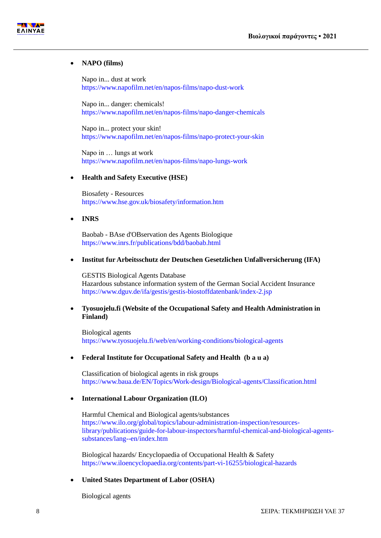



#### **NAPO (films)**

[Napo in... dust at work](https://www.napofilm.net/en/napos-films/napo-dust-work)  <https://www.napofilm.net/en/napos-films/napo-dust-work>

[Napo in... danger: chemicals!](Napo%20in...%20danger:%20chemicals!%20 )  <https://www.napofilm.net/en/napos-films/napo-danger-chemicals>

[Napo in... protect your skin!](https://www.napofilm.net/en/napos-films/napo-protect-your-skin)  <https://www.napofilm.net/en/napos-films/napo-protect-your-skin>

[Napo in … lungs at](https://www.napofilm.net/en/napos-films/napo-lungs-work) work <https://www.napofilm.net/en/napos-films/napo-lungs-work>

#### **Health and Safety Executive (HSE)**

Biosafety - Resources <https://www.hse.gov.uk/biosafety/information.htm>

**INRS**

Baobab - BAse d'OBservation des Agents Biologique <https://www.inrs.fr/publications/bdd/baobab.html>

#### **Institut fur Arbeitsschutz der Deutschen Gesetzlichen Unfallversicherung (IFA)**

GESTIS Biological Agents Database Hazardous substance information system of the German Social Accident Insurance <https://www.dguv.de/ifa/gestis/gestis-biostoffdatenbank/index-2.jsp>

#### **Tyosuojelu.fi (Website of the Occupational Safety and Health Administration in Finland)**

Biological agents <https://www.tyosuojelu.fi/web/en/working-conditions/biological-agents>

#### **Federal Institute for Occupational Safety and Health (b a u a)**

Classification of biological agents in risk groups <https://www.baua.de/EN/Topics/Work-design/Biological-agents/Classification.html>

#### **International Labour Organization (ILO)**

Harmful Chemical and Biological agents/substances [https://www.ilo.org/global/topics/labour-administration-inspection/resources](https://www.ilo.org/global/topics/labour-administration-inspection/resources-library/publications/guide-for-labour-inspectors/harmful-chemical-and-biological-agents-substances/lang--en/index.htm)[library/publications/guide-for-labour-inspectors/harmful-chemical-and-biological-agents](https://www.ilo.org/global/topics/labour-administration-inspection/resources-library/publications/guide-for-labour-inspectors/harmful-chemical-and-biological-agents-substances/lang--en/index.htm)[substances/lang--en/index.htm](https://www.ilo.org/global/topics/labour-administration-inspection/resources-library/publications/guide-for-labour-inspectors/harmful-chemical-and-biological-agents-substances/lang--en/index.htm)

Biological hazards/ Encyclopaedia of Occupational Health & Safety <https://www.iloencyclopaedia.org/contents/part-vi-16255/biological-hazards>

#### **United States Department of Labor (OSHA)**

Biological agents